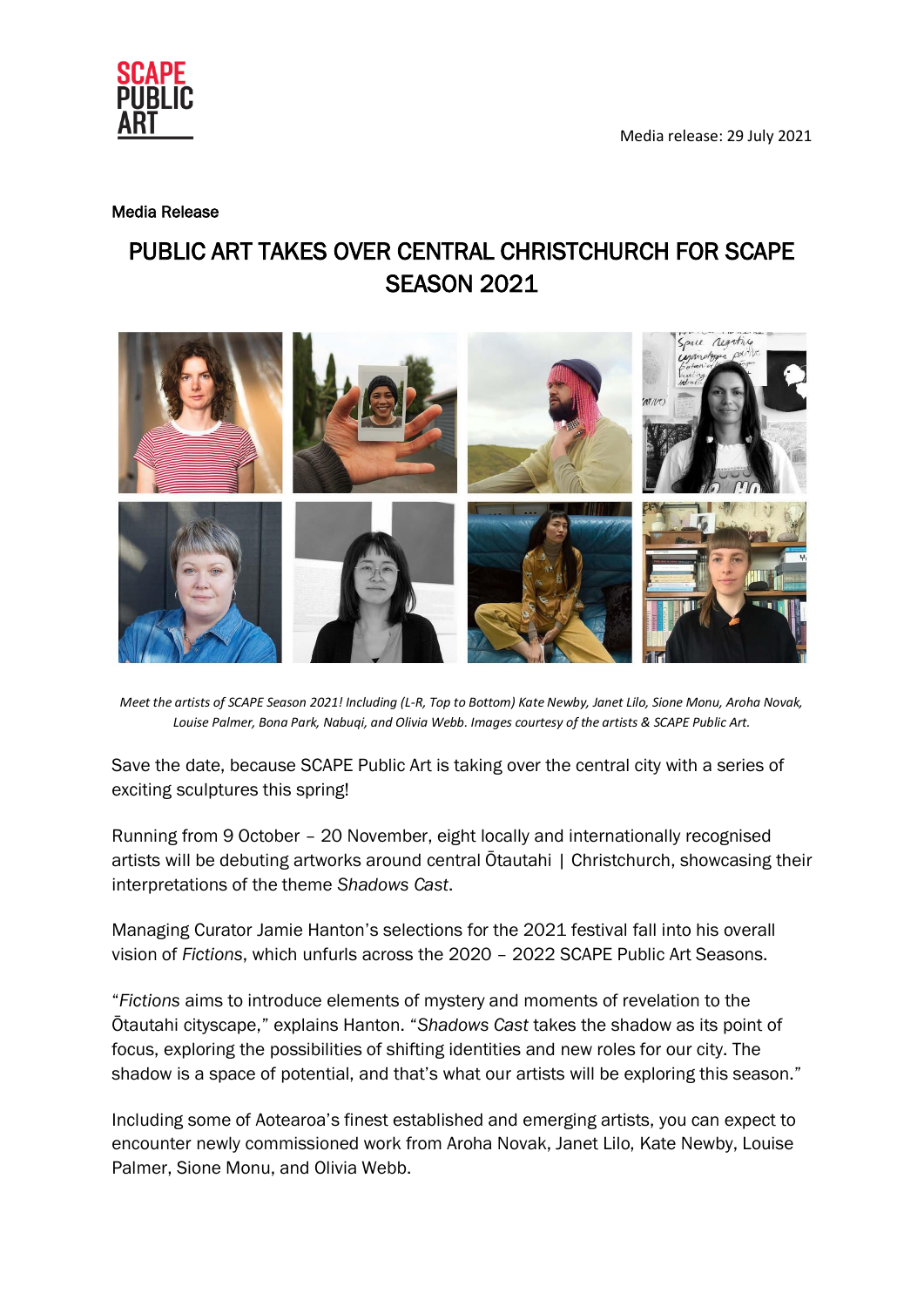

Media Release

## PUBLIC ART TAKES OVER CENTRAL CHRISTCHURCH FOR SCAPE SEASON 2021



*Meet the artists of SCAPE Season 2021! Including (L-R, Top to Bottom) Kate Newby, Janet Lilo, Sione Monu, Aroha Novak, Louise Palmer, Bona Park, Nabuqi, and Olivia Webb. Images courtesy of the artists & SCAPE Public Art.*

Save the date, because SCAPE Public Art is taking over the central city with a series of exciting sculptures this spring!

Running from 9 October – 20 November, eight locally and internationally recognised artists will be debuting artworks around central Ōtautahi | Christchurch, showcasing their interpretations of the theme *Shadows Cast*.

Managing Curator Jamie Hanton's selections for the 2021 festival fall into his overall vision of *Fictions*, which unfurls across the 2020 – 2022 SCAPE Public Art Seasons.

"*Fictions* aims to introduce elements of mystery and moments of revelation to the Ōtautahi cityscape," explains Hanton. "*Shadows Cast* takes the shadow as its point of focus, exploring the possibilities of shifting identities and new roles for our city. The shadow is a space of potential, and that's what our artists will be exploring this season."

Including some of Aotearoa's finest established and emerging artists, you can expect to encounter newly commissioned work from Aroha Novak, Janet Lilo, Kate Newby, Louise Palmer, Sione Monu, and Olivia Webb.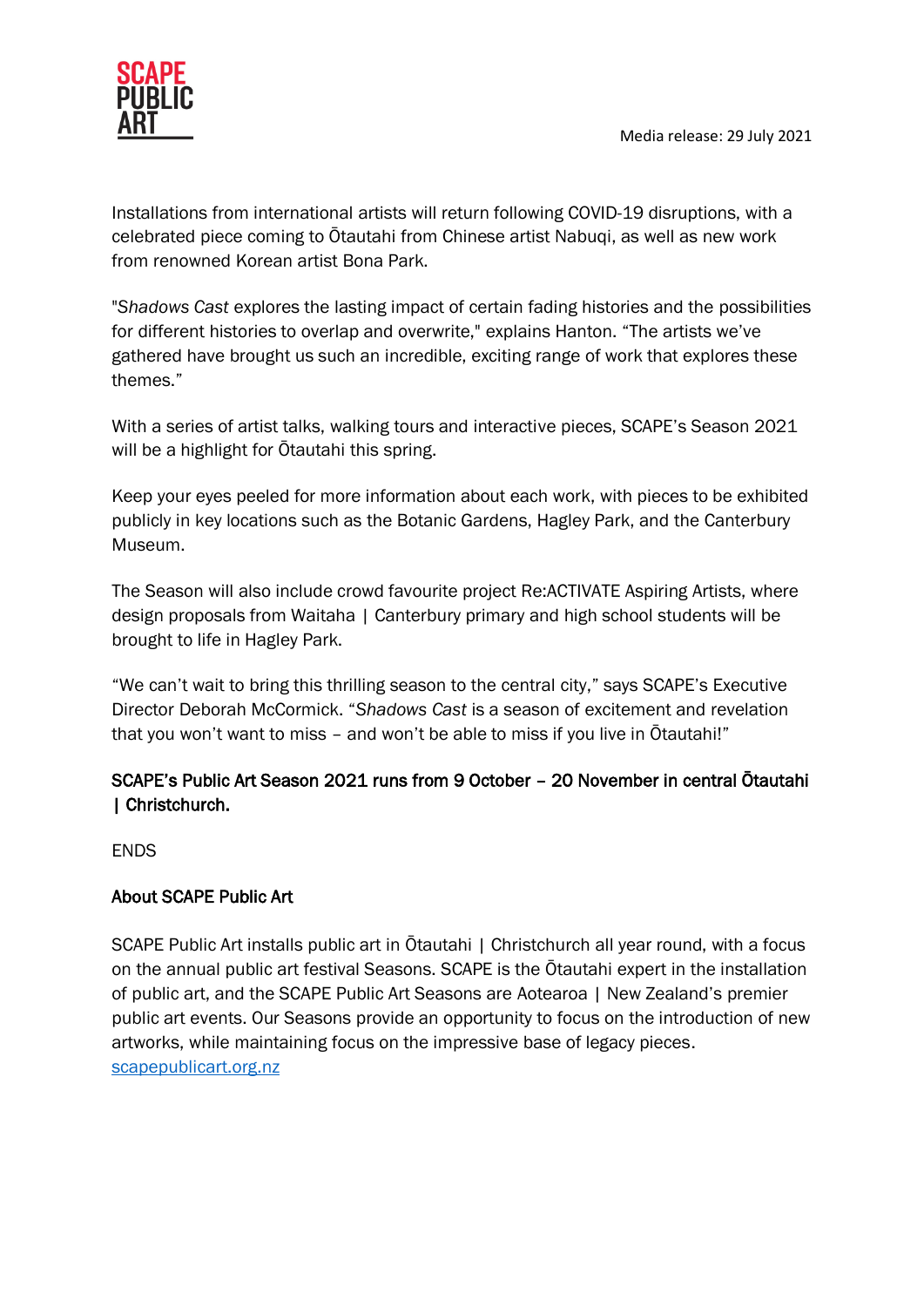

Installations from international artists will return following COVID-19 disruptions, with a celebrated piece coming to Ōtautahi from Chinese artist Nabuqi, as well as new work from renowned Korean artist Bona Park.

"*Shadows Cast* explores the lasting impact of certain fading histories and the possibilities for different histories to overlap and overwrite," explains Hanton. "The artists we've gathered have brought us such an incredible, exciting range of work that explores these themes."

With a series of artist talks, walking tours and interactive pieces, SCAPE's Season 2021 will be a highlight for Otautahi this spring.

Keep your eyes peeled for more information about each work, with pieces to be exhibited publicly in key locations such as the Botanic Gardens, Hagley Park, and the Canterbury Museum.

The Season will also include crowd favourite project Re:ACTIVATE Aspiring Artists, where design proposals from Waitaha | Canterbury primary and high school students will be brought to life in Hagley Park.

"We can't wait to bring this thrilling season to the central city," says SCAPE's Executive Director Deborah McCormick. "*Shadows Cast* is a season of excitement and revelation that you won't want to miss – and won't be able to miss if you live in Ōtautahi!"

## SCAPE's Public Art Season 2021 runs from 9 October – 20 November in central Ōtautahi | Christchurch.

ENDS

## About SCAPE Public Art

SCAPE Public Art installs public art in Ōtautahi | Christchurch all year round, with a focus on the annual public art festival Seasons. SCAPE is the Ōtautahi expert in the installation of public art, and the SCAPE Public Art Seasons are Aotearoa | New Zealand's premier public art events. Our Seasons provide an opportunity to focus on the introduction of new artworks, while maintaining focus on the impressive base of legacy pieces. [scapepublicart.org.nz](http://www.scapepublicart.org.nz/)